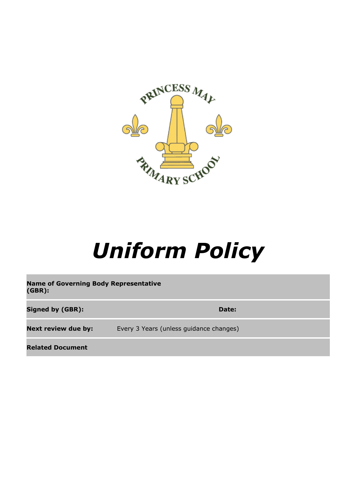

# *Uniform Policy*

**Name of Governing Body Representative (GBR): Signed by (GBR): Date: Date: Date: Date: Date: Date: Date: Date: Date: Date: Date: Date: Date: Date: Date: Date: Date: Date: Date: Date: Date: Date: Date: Date: Date: Da Next review due by:** Every 3 Years (unless guidance changes)

**Related Document**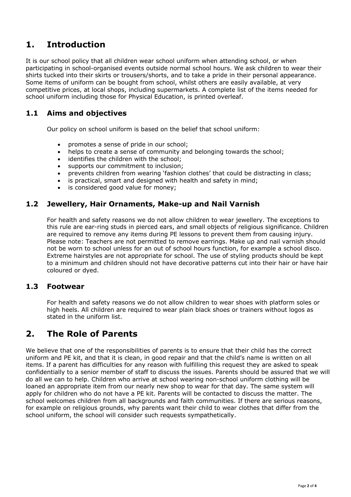# **1. Introduction**

It is our school policy that all children wear school uniform when attending school, or when participating in school-organised events outside normal school hours. We ask children to wear their shirts tucked into their skirts or trousers/shorts, and to take a pride in their personal appearance. Some items of uniform can be bought from school, whilst others are easily available, at very competitive prices, at local shops, including supermarkets. A complete list of the items needed for school uniform including those for Physical Education, is printed overleaf.

## **1.1 Aims and objectives**

Our policy on school uniform is based on the belief that school uniform:

- promotes a sense of pride in our school;
- helps to create a sense of community and belonging towards the school;
- identifies the children with the school:
- supports our commitment to inclusion;
- prevents children from wearing 'fashion clothes' that could be distracting in class;
- is practical, smart and designed with health and safety in mind;
- is considered good value for money;

## **1.2 Jewellery, Hair Ornaments, Make-up and Nail Varnish**

For health and safety reasons we do not allow children to wear jewellery. The exceptions to this rule are ear-ring studs in pierced ears, and small objects of religious significance. Children are required to remove any items during PE lessons to prevent them from causing injury. Please note: Teachers are not permitted to remove earrings. Make up and nail varnish should not be worn to school unless for an out of school hours function, for example a school disco. Extreme hairstyles are not appropriate for school. The use of styling products should be kept to a minimum and children should not have decorative patterns cut into their hair or have hair coloured or dyed.

#### **1.3 Footwear**

For health and safety reasons we do not allow children to wear shoes with platform soles or high heels. All children are required to wear plain black shoes or trainers without logos as stated in the uniform list.

## **2. The Role of Parents**

We believe that one of the responsibilities of parents is to ensure that their child has the correct uniform and PE kit, and that it is clean, in good repair and that the child's name is written on all items. If a parent has difficulties for any reason with fulfilling this request they are asked to speak confidentially to a senior member of staff to discuss the issues. Parents should be assured that we will do all we can to help. Children who arrive at school wearing non-school uniform clothing will be loaned an appropriate item from our nearly new shop to wear for that day. The same system will apply for children who do not have a PE kit. Parents will be contacted to discuss the matter. The school welcomes children from all backgrounds and faith communities. If there are serious reasons, for example on religious grounds, why parents want their child to wear clothes that differ from the school uniform, the school will consider such requests sympathetically.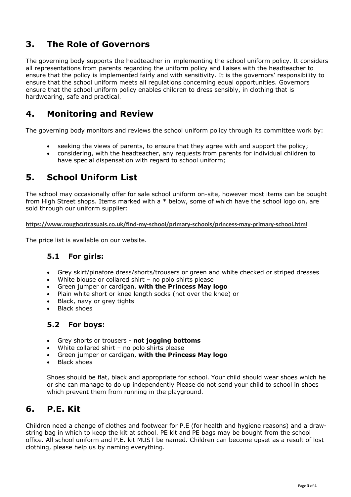# **3. The Role of Governors**

The governing body supports the headteacher in implementing the school uniform policy. It considers all representations from parents regarding the uniform policy and liaises with the headteacher to ensure that the policy is implemented fairly and with sensitivity. It is the governors' responsibility to ensure that the school uniform meets all regulations concerning equal opportunities. Governors ensure that the school uniform policy enables children to dress sensibly, in clothing that is hardwearing, safe and practical.

# **4. Monitoring and Review**

The governing body monitors and reviews the school uniform policy through its committee work by:

- seeking the views of parents, to ensure that they agree with and support the policy;
- considering, with the headteacher, any requests from parents for individual children to have special dispensation with regard to school uniform;

## **5. School Uniform List**

The school may occasionally offer for sale school uniform on-site, however most items can be bought from High Street shops. Items marked with a \* below, some of which have the school logo on, are sold through our uniform supplier:

**https://www.roughcutcasuals.co.uk/find-my-school/primary-schools/princess-may-primary-school.html**

The price list is available on our website.

## **5.1 For girls:**

- Grey skirt/pinafore dress/shorts/trousers or green and white checked or striped dresses
- White blouse or collared shirt no polo shirts please
- Green jumper or cardigan, **with the Princess May logo**
- Plain white short or knee length socks (not over the knee) or
- Black, navy or grey tights
- Black shoes

## **5.2 For boys:**

- Grey shorts or trousers **not jogging bottoms**
- White collared shirt no polo shirts please
- Green jumper or cardigan, **with the Princess May logo**
- Black shoes

Shoes should be flat, black and appropriate for school. Your child should wear shoes which he or she can manage to do up independently Please do not send your child to school in shoes which prevent them from running in the playground.

## **6. P.E. Kit**

Children need a change of clothes and footwear for P.E (for health and hygiene reasons) and a drawstring bag in which to keep the kit at school. PE kit and PE bags may be bought from the school office. All school uniform and P.E. kit MUST be named. Children can become upset as a result of lost clothing, please help us by naming everything.